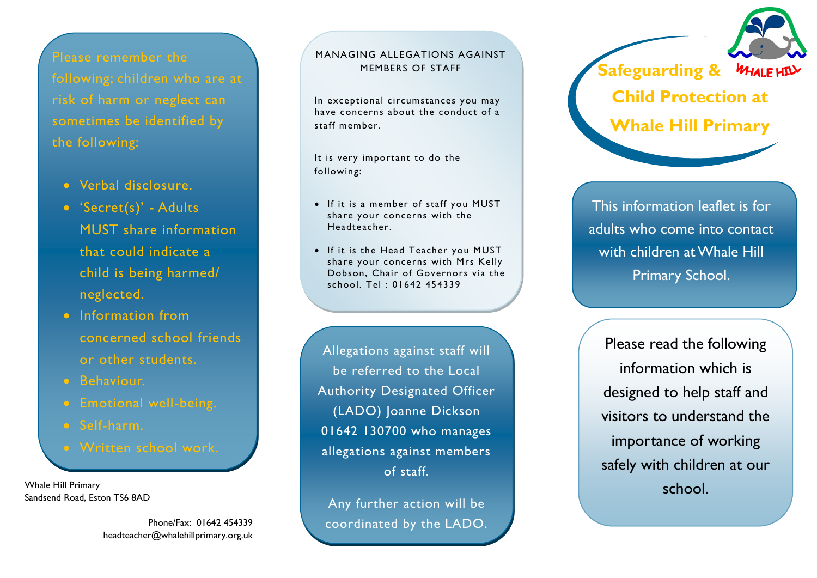Please remember the risk of harm or neglect can sometimes be identified by the following:

- Verbal disclosure.
- 'Secret(s)' Adults MUST share information that could indicate a child is being harmed/ neglected.
- Information from concerned school friends or other students.
- **Behaviour.**
- 
- Self-harm.
	-

Whale Hill Primary Sandsend Road, Eston TS6 8AD

> Phone/Fax: 01642 454339 headteacher@whalehillprimary.org.uk

#### MANAGING ALLEGATIONS AGAINST MEMBERS OF STAFF

In exceptional circumstances you may have concerns about the conduct of a staff member.

It is very important to do the following:

- If it is a member of staff you MUST share your concerns with the Headteacher.
- If it is the Head Teacher you MUST share your concerns with Mrs Kelly Dobson, Chair of Governors via the school. Tel : 01642 454339

Allegations against staff will be referred to the Local Authority Designated Officer (LADO) Joanne Dickson 01642 130700 who manages allegations against members of staff.

Any further action will be coordinated by the LADO. **Safeguarding & Child Protection at Whale Hill Primary**

This information leaflet is for adults who come into contact with children at Whale Hill Primary School.

Please read the following information which is designed to help staff and visitors to understand the importance of working safely with children at our school.